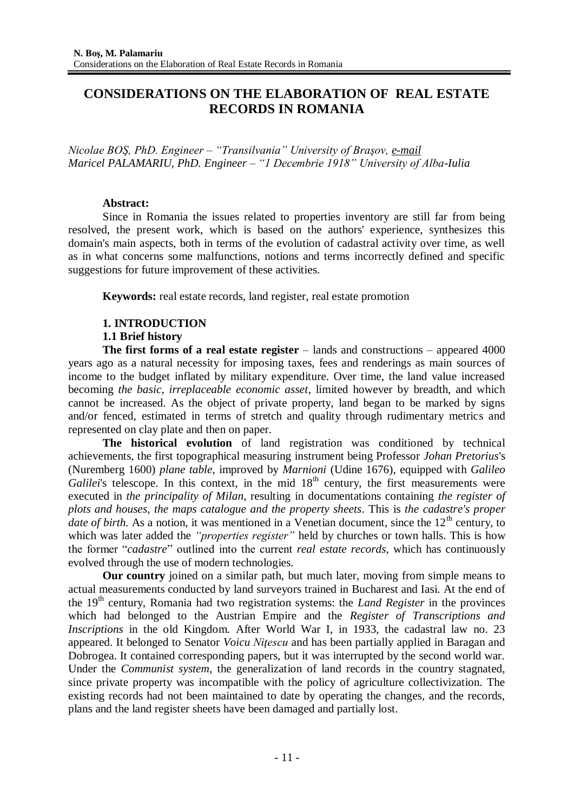# **CONSIDERATIONS ON THE ELABORATION OF REAL ESTATE RECORDS IN ROMANIA**

*Nicolae BOŞ, PhD. Engineer – "Transilvania" University of Braşov, e-mail Maricel PALAMARIU, PhD. Engineer – "1 Decembrie 1918" University of Alba-Iulia*

### **Abstract:**

Since in Romania the issues related to properties inventory are still far from being resolved, the present work, which is based on the authors' experience, synthesizes this domain's main aspects, both in terms of the evolution of cadastral activity over time, as well as in what concerns some malfunctions, notions and terms incorrectly defined and specific suggestions for future improvement of these activities.

**Keywords:** real estate records, land register, real estate promotion

### **1. INTRODUCTION**

### **1.1 Brief history**

**The first forms of a real estate register** – lands and constructions – appeared 4000 years ago as a natural necessity for imposing taxes, fees and renderings as main sources of income to the budget inflated by military expenditure. Over time, the land value increased becoming *the basic, irreplaceable economic asset*, limited however by breadth, and which cannot be increased. As the object of private property, land began to be marked by signs and/or fenced, estimated in terms of stretch and quality through rudimentary metrics and represented on clay plate and then on paper.

**The historical evolution** of land registration was conditioned by technical achievements, the first topographical measuring instrument being Professor *Johan Pretorius*'s (Nuremberg 1600) *plane table*, improved by *Marnioni* (Udine 1676), equipped with *Galileo Galilei*'s telescope. In this context, in the mid  $18<sup>th</sup>$  century, the first measurements were executed in *the principality of Milan*, resulting in documentations containing *the register of plots and houses, the maps catalogue and the property sheets*. This is *the cadastre's proper date of birth.* As a notion, it was mentioned in a Venetian document, since the 12<sup>th</sup> century, to which was later added the *"properties register"* held by churches or town halls. This is how the former "*cadastre*" outlined into the current *real estate records*, which has continuously evolved through the use of modern technologies.

**Our country** joined on a similar path, but much later, moving from simple means to actual measurements conducted by land surveyors trained in Bucharest and Iasi. At the end of the 19th century, Romania had two registration systems: the *Land Register* in the provinces which had belonged to the Austrian Empire and the *Register of Transcriptions and Inscriptions* in the old Kingdom. After World War I, in 1933, the cadastral law no. 23 appeared. It belonged to Senator *Voicu Niţescu* and has been partially applied in Baragan and Dobrogea. It contained corresponding papers, but it was interrupted by the second world war. Under the *Communist system*, the generalization of land records in the country stagnated, since private property was incompatible with the policy of agriculture collectivization. The existing records had not been maintained to date by operating the changes, and the records, plans and the land register sheets have been damaged and partially lost.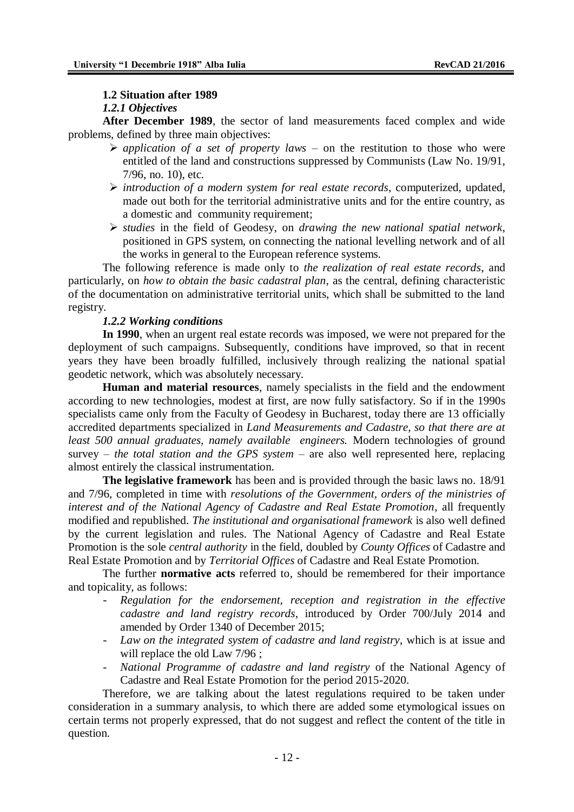### **1.2 Situation after 1989**

### *1.2.1 Objectives*

**After December 1989**, the sector of land measurements faced complex and wide problems, defined by three main objectives:

- $\triangleright$  application of a set of property laws on the restitution to those who were entitled of the land and constructions suppressed by Communists (Law No. 19/91, 7/96, no. 10), etc.
- *introduction of a modern system for real estate records*, computerized, updated, made out both for the territorial administrative units and for the entire country, as a domestic and community requirement;
- *studies* in the field of Geodesy, on *drawing the new national spatial network*, positioned in GPS system, on connecting the national levelling network and of all the works in general to the European reference systems.

The following reference is made only to *the realization of real estate records*, and particularly, on *how to obtain the basic cadastral plan*, as the central, defining characteristic of the documentation on administrative territorial units, which shall be submitted to the land registry.

### *1.2.2 Working conditions*

**In 1990**, when an urgent real estate records was imposed, we were not prepared for the deployment of such campaigns. Subsequently, conditions have improved, so that in recent years they have been broadly fulfilled, inclusively through realizing the national spatial geodetic network, which was absolutely necessary.

**Human and material resources**, namely specialists in the field and the endowment according to new technologies, modest at first, are now fully satisfactory. So if in the 1990s specialists came only from the Faculty of Geodesy in Bucharest, today there are 13 officially accredited departments specialized in *Land Measurements and Cadastre, so that there are at least 500 annual graduates, namely available engineers.* Modern technologies of ground survey – *the total station and the GPS system* – are also well represented here, replacing almost entirely the classical instrumentation.

**The legislative framework** has been and is provided through the basic laws no. 18/91 and 7/96, completed in time with *resolutions of the Government, orders of the ministries of interest and of the National Agency of Cadastre and Real Estate Promotion*, all frequently modified and republished. *The institutional and organisational framework* is also well defined by the current legislation and rules. The National Agency of Cadastre and Real Estate Promotion is the sole *central authority* in the field, doubled by *County Offices* of Cadastre and Real Estate Promotion and by *Territorial Offices* of Cadastre and Real Estate Promotion.

The further **normative acts** referred to, should be remembered for their importance and topicality, as follows:

- *Regulation for the endorsement, reception and registration in the effective cadastre and land registry records*, introduced by Order 700/July 2014 and amended by Order 1340 of December 2015;
- *Law on the integrated system of cadastre and land registry*, which is at issue and will replace the old Law 7/96;
- *National Programme of cadastre and land registry* of the National Agency of Cadastre and Real Estate Promotion for the period 2015-2020.

Therefore, we are talking about the latest regulations required to be taken under consideration in a summary analysis, to which there are added some etymological issues on certain terms not properly expressed, that do not suggest and reflect the content of the title in question.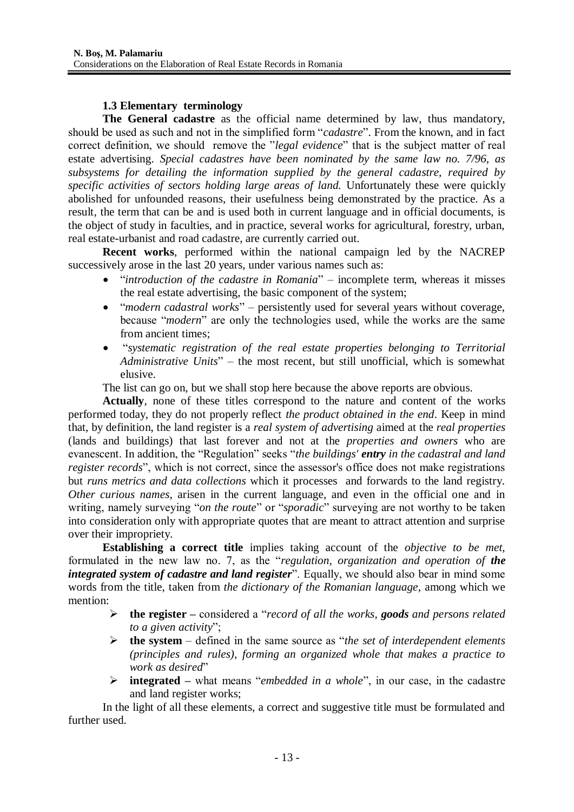## **1.3 Elementary terminology**

**The General cadastre** as the official name determined by law, thus mandatory, should be used as such and not in the simplified form "*cadastre*". From the known, and in fact correct definition, we should remove the "*legal evidence*" that is the subject matter of real estate advertising. *Special cadastres have been nominated by the same law no. 7/96, as subsystems for detailing the information supplied by the general cadastre, required by specific activities of sectors holding large areas of land.* Unfortunately these were quickly abolished for unfounded reasons, their usefulness being demonstrated by the practice. As a result, the term that can be and is used both in current language and in official documents, is the object of study in faculties, and in practice, several works for agricultural, forestry, urban, real estate-urbanist and road cadastre, are currently carried out.

**Recent works**, performed within the national campaign led by the NACREP successively arose in the last 20 years, under various names such as:

- "*introduction of the cadastre in Romania*" incomplete term, whereas it misses the real estate advertising, the basic component of the system;
- "*modern cadastral works*" persistently used for several years without coverage, because "*modern*" are only the technologies used, while the works are the same from ancient times;
- "*systematic registration of the real estate properties belonging to Territorial Administrative Units*" – the most recent, but still unofficial, which is somewhat elusive.

The list can go on, but we shall stop here because the above reports are obvious.

**Actually**, none of these titles correspond to the nature and content of the works performed today, they do not properly reflect *the product obtained in the end*. Keep in mind that, by definition, the land register is a *real system of advertising* aimed at the *real properties* (lands and buildings) that last forever and not at the *properties and owners* who are evanescent. In addition, the "Regulation" seeks "*the buildings' entry in the cadastral and land register records*", which is not correct, since the assessor's office does not make registrations but *runs metrics and data collections* which it processes and forwards to the land registry. *Other curious names*, arisen in the current language, and even in the official one and in writing, namely surveying "*on the route*" or "*sporadic*" surveying are not worthy to be taken into consideration only with appropriate quotes that are meant to attract attention and surprise over their impropriety.

**Establishing a correct title** implies taking account of the *objective to be met,* formulated in the new law no. 7, as the "*regulation, organization and operation of the integrated system of cadastre and land register*". Equally, we should also bear in mind some words from the title, taken from *the dictionary of the Romanian language*, among which we mention:

- **the register –** considered a "*record of all the works, goods and persons related to a given activity*";
- **the system**  defined in the same source as "*the set of interdependent elements (principles and rules), forming an organized whole that makes a practice to work as desired*"
- **integrated –** what means "*embedded in a whole*", in our case, in the cadastre and land register works;

In the light of all these elements, a correct and suggestive title must be formulated and further used.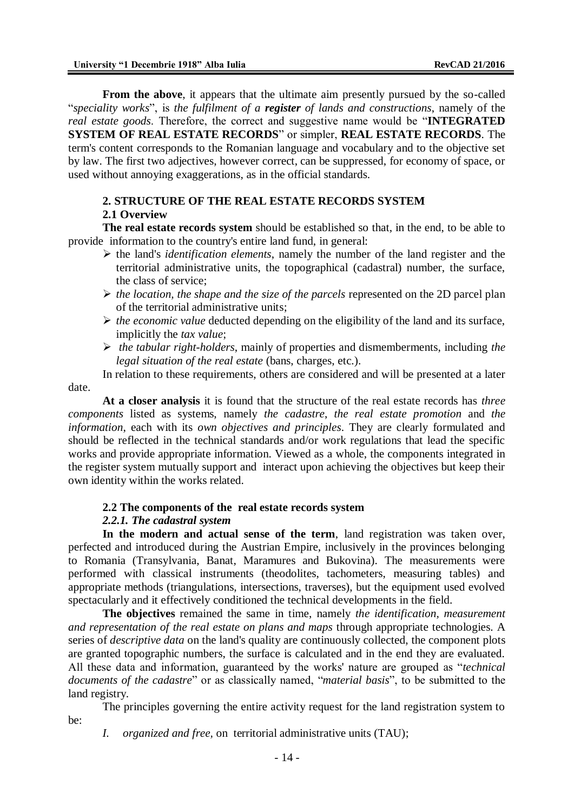**From the above,** it appears that the ultimate aim presently pursued by the so-called "*speciality works*", is *the fulfilment of a register of lands and constructions*, namely of the *real estate goods*. Therefore, the correct and suggestive name would be "**INTEGRATED SYSTEM OF REAL ESTATE RECORDS**" or simpler, **REAL ESTATE RECORDS**. The term's content corresponds to the Romanian language and vocabulary and to the objective set by law. The first two adjectives, however correct, can be suppressed, for economy of space, or used without annoying exaggerations, as in the official standards.

## **2. STRUCTURE OF THE REAL ESTATE RECORDS SYSTEM 2.1 Overview**

**The real estate records system** should be established so that, in the end, to be able to provide information to the country's entire land fund, in general:

- $\triangleright$  the land's *identification elements*, namely the number of the land register and the territorial administrative units, the topographical (cadastral) number, the surface, the class of service;
- *the location, the shape and the size of the parcels* represented on the 2D parcel plan of the territorial administrative units;
- *the economic value* deducted depending on the eligibility of the land and its surface, implicitly the *tax value*;
- *the tabular right-holders*, mainly of properties and dismemberments, including *the legal situation of the real estate* (bans, charges, etc.).

In relation to these requirements, others are considered and will be presented at a later

date.

**At a closer analysis** it is found that the structure of the real estate records has *three components* listed as systems, namely *the cadastre*, *the real estate promotion* and *the information*, each with its *own objectives and principles*. They are clearly formulated and should be reflected in the technical standards and/or work regulations that lead the specific works and provide appropriate information. Viewed as a whole, the components integrated in the register system mutually support and interact upon achieving the objectives but keep their own identity within the works related.

## **2.2 The components of the real estate records system**

### *2.2.1. The cadastral system*

**In the modern and actual sense of the term**, land registration was taken over, perfected and introduced during the Austrian Empire, inclusively in the provinces belonging to Romania (Transylvania, Banat, Maramures and Bukovina). The measurements were performed with classical instruments (theodolites, tachometers, measuring tables) and appropriate methods (triangulations, intersections, traverses), but the equipment used evolved spectacularly and it effectively conditioned the technical developments in the field.

**The objectives** remained the same in time, namely *the identification, measurement and representation of the real estate on plans and maps* through appropriate technologies. A series of *descriptive data* on the land's quality are continuously collected, the component plots are granted topographic numbers, the surface is calculated and in the end they are evaluated. All these data and information, guaranteed by the works' nature are grouped as "*technical documents of the cadastre*" or as classically named, "*material basis*", to be submitted to the land registry.

The principles governing the entire activity request for the land registration system to be:

*I. organized and free,* on territorial administrative units (TAU);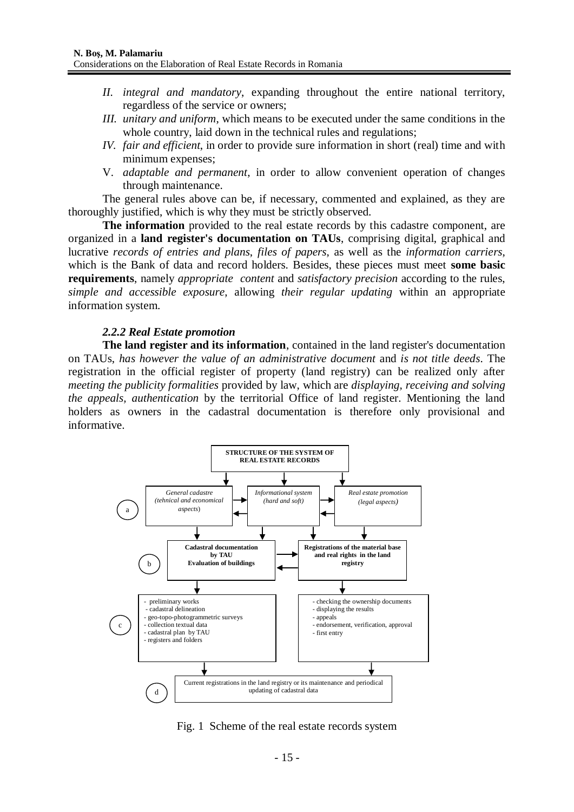- *II. integral and mandatory*, expanding throughout the entire national territory, regardless of the service or owners;
- *III. unitary and uniform*, which means to be executed under the same conditions in the whole country, laid down in the technical rules and regulations;
- *IV. fair and efficient*, in order to provide sure information in short (real) time and with minimum expenses;
- V. *adaptable and permanent*, in order to allow convenient operation of changes through maintenance.

The general rules above can be, if necessary, commented and explained, as they are thoroughly justified, which is why they must be strictly observed.

**The information** provided to the real estate records by this cadastre component, are organized in a **land register's documentation on TAUs**, comprising digital, graphical and lucrative *records of entries and plans*, *files of papers*, as well as the *information carriers*, which is the Bank of data and record holders. Besides, these pieces must meet **some basic requirements**, namely *appropriate content* and *satisfactory precision* according to the rules, *simple and accessible exposure*, allowing *their regular updating* within an appropriate information system.

#### *2.2.2 Real Estate promotion*

**The land register and its information**, contained in the land register's documentation on TAUs, *has however the value of an administrative document* and *is not title deeds*. The registration in the official register of property (land registry) can be realized only after *meeting the publicity formalities* provided by law, which are *displaying, receiving and solving the appeals, authentication* by the territorial Office of land register. Mentioning the land holders as owners in the cadastral documentation is therefore only provisional and informative.



Fig. 1 Scheme of the real estate records system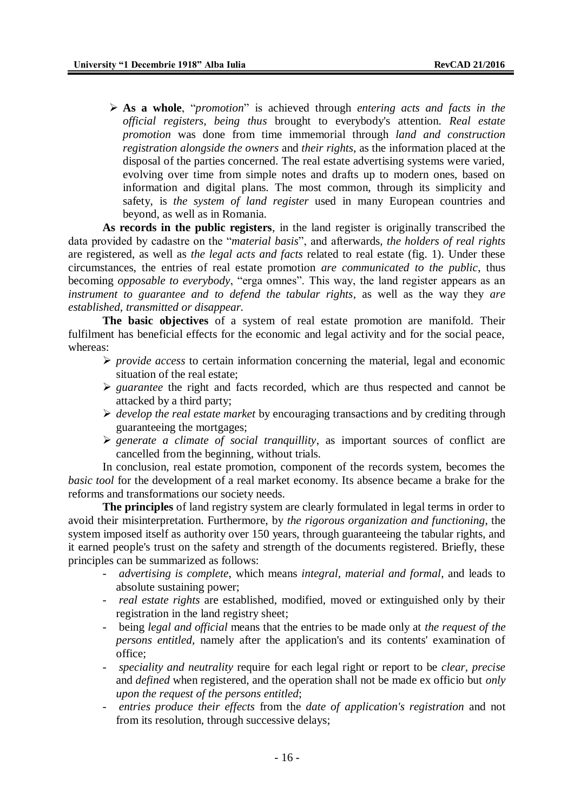**As a whole**, "*promotion*" is achieved through *entering acts and facts in the official registers, being thus* brought to everybody's attention. *Real estate promotion* was done from time immemorial through *land and construction registration alongside the owners* and *their rights*, as the information placed at the disposal of the parties concerned. The real estate advertising systems were varied, evolving over time from simple notes and drafts up to modern ones, based on information and digital plans. The most common, through its simplicity and safety, is *the system of land register* used in many European countries and beyond, as well as in Romania.

**As records in the public registers**, in the land register is originally transcribed the data provided by cadastre on the "*material basis*", and afterwards, *the holders of real rights* are registered, as well as *the legal acts and facts* related to real estate (fig. 1). Under these circumstances, the entries of real estate promotion *are communicated to the public*, thus becoming *opposable to everybody*, "erga omnes". This way, the land register appears as an *instrument to guarantee and to defend the tabular rights*, as well as the way they *are established, transmitted or disappear.*

**The basic objectives** of a system of real estate promotion are manifold. Their fulfilment has beneficial effects for the economic and legal activity and for the social peace, whereas:

- $\triangleright$  *provide access* to certain information concerning the material, legal and economic situation of the real estate;
- *guarantee* the right and facts recorded, which are thus respected and cannot be attacked by a third party;
- *develop the real estate market* by encouraging transactions and by crediting through guaranteeing the mortgages;
- $\triangleright$  generate a climate of social tranquillity, as important sources of conflict are cancelled from the beginning, without trials.

In conclusion, real estate promotion, component of the records system, becomes the *basic tool* for the development of a real market economy. Its absence became a brake for the reforms and transformations our society needs.

**The principles** of land registry system are clearly formulated in legal terms in order to avoid their misinterpretation. Furthermore, by *the rigorous organization and functioning*, the system imposed itself as authority over 150 years, through guaranteeing the tabular rights, and it earned people's trust on the safety and strength of the documents registered. Briefly, these principles can be summarized as follows:

- *advertising is complete*, which means *integral, material and formal*, and leads to absolute sustaining power;
- *real estate rights* are established, modified, moved or extinguished only by their registration in the land registry sheet;
- being *legal and official* means that the entries to be made only at *the request of the persons entitled*, namely after the application's and its contents' examination of office;
- *speciality and neutrality* require for each legal right or report to be *clear, precise*  and *defined* when registered, and the operation shall not be made ex officio but *only upon the request of the persons entitled*;
- *entries produce their effects* from the *date of application's registration* and not from its resolution, through successive delays;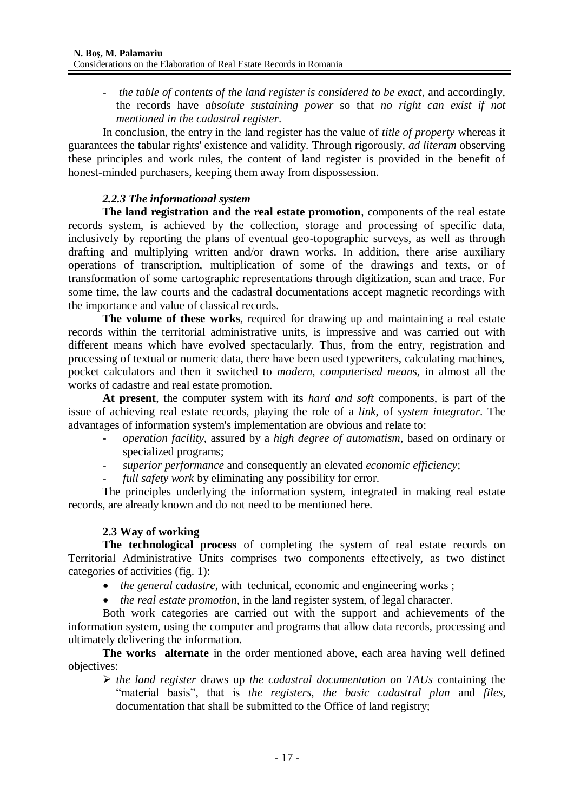- *the table of contents of the land register is considered to be exact*, and accordingly, the records have *absolute sustaining power* so that *no right can exist if not mentioned in the cadastral register*.

In conclusion, the entry in the land register has the value of *title of property* whereas it guarantees the tabular rights' existence and validity. Through rigorously, *ad literam* observing these principles and work rules, the content of land register is provided in the benefit of honest-minded purchasers, keeping them away from dispossession.

## *2.2.3 The informational system*

**The land registration and the real estate promotion**, components of the real estate records system, is achieved by the collection, storage and processing of specific data, inclusively by reporting the plans of eventual geo-topographic surveys, as well as through drafting and multiplying written and/or drawn works. In addition, there arise auxiliary operations of transcription, multiplication of some of the drawings and texts, or of transformation of some cartographic representations through digitization, scan and trace. For some time, the law courts and the cadastral documentations accept magnetic recordings with the importance and value of classical records.

**The volume of these works**, required for drawing up and maintaining a real estate records within the territorial administrative units, is impressive and was carried out with different means which have evolved spectacularly. Thus, from the entry, registration and processing of textual or numeric data, there have been used typewriters, calculating machines, pocket calculators and then it switched to *modern, computerised mean*s, in almost all the works of cadastre and real estate promotion.

**At present**, the computer system with its *hard and soft* components, is part of the issue of achieving real estate records, playing the role of a *link*, of *system integrator*. The advantages of information system's implementation are obvious and relate to:

- *operation facility*, assured by a *high degree of automatism*, based on ordinary or specialized programs;
- *superior performance* and consequently an elevated *economic efficiency*;
- full *safety* work by eliminating any possibility for error.

The principles underlying the information system, integrated in making real estate records, are already known and do not need to be mentioned here.

## **2.3 Way of working**

**The technological process** of completing the system of real estate records on Territorial Administrative Units comprises two components effectively, as two distinct categories of activities (fig. 1):

- *the general cadastre*, with technical, economic and engineering works ;
- *the real estate promotion,* in the land register system, of legal character.

Both work categories are carried out with the support and achievements of the information system, using the computer and programs that allow data records, processing and ultimately delivering the information.

**The works alternate** in the order mentioned above, each area having well defined objectives:

 *the land register* draws up *the cadastral documentation on TAUs* containing the "material basis", that is *the registers*, *the basic cadastral plan* and *files*, documentation that shall be submitted to the Office of land registry;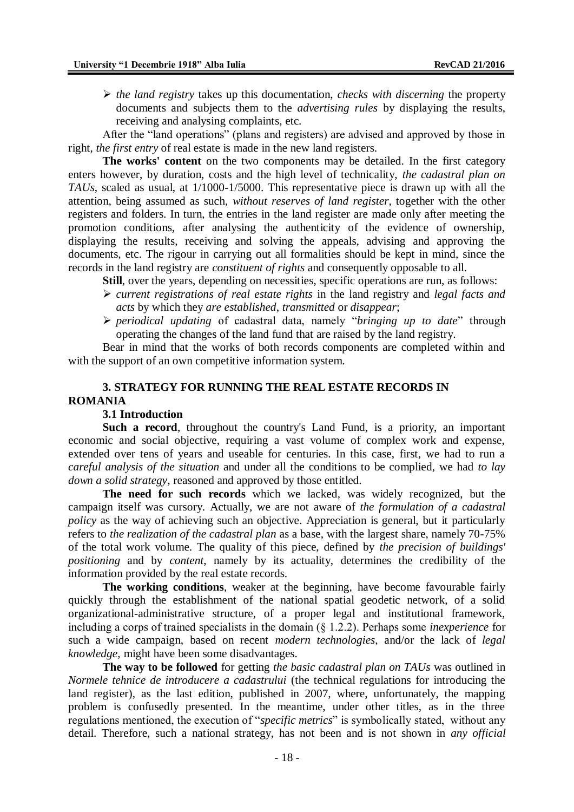$\triangleright$  *the land registry* takes up this documentation, *checks with discerning* the property documents and subjects them to the *advertising rules* by displaying the results, receiving and analysing complaints, etc.

After the "land operations" (plans and registers) are advised and approved by those in right, *the first entry* of real estate is made in the new land registers.

**The works' content** on the two components may be detailed. In the first category enters however, by duration, costs and the high level of technicality, *the cadastral plan on TAUs*, scaled as usual, at 1/1000-1/5000. This representative piece is drawn up with all the attention, being assumed as such, *without reserves of land register*, together with the other registers and folders. In turn, the entries in the land register are made only after meeting the promotion conditions, after analysing the authenticity of the evidence of ownership, displaying the results, receiving and solving the appeals, advising and approving the documents, etc. The rigour in carrying out all formalities should be kept in mind, since the records in the land registry are *constituent of rights* and consequently opposable to all.

**Still**, over the years, depending on necessities, specific operations are run, as follows:

- *current registrations of real estate rights* in the land registry and *legal facts and acts* by which they *are established*, *transmitted* or *disappear*;
- *periodical updating* of cadastral data, namely "*bringing up to date*" through operating the changes of the land fund that are raised by the land registry.

Bear in mind that the works of both records components are completed within and with the support of an own competitive information system.

## **3. STRATEGY FOR RUNNING THE REAL ESTATE RECORDS IN ROMANIA**

#### **3.1 Introduction**

**Such a record**, throughout the country's Land Fund, is a priority, an important economic and social objective, requiring a vast volume of complex work and expense, extended over tens of years and useable for centuries. In this case, first, we had to run a *careful analysis of the situation* and under all the conditions to be complied, we had *to lay down a solid strategy*, reasoned and approved by those entitled.

**The need for such records** which we lacked, was widely recognized, but the campaign itself was cursory. Actually, we are not aware of *the formulation of a cadastral policy* as the way of achieving such an objective. Appreciation is general, but it particularly refers to *the realization of the cadastral plan* as a base, with the largest share, namely 70-75% of the total work volume. The quality of this piece, defined by *the precision of buildings' positioning* and by *content*, namely by its actuality, determines the credibility of the information provided by the real estate records.

**The working conditions**, weaker at the beginning, have become favourable fairly quickly through the establishment of the national spatial geodetic network, of a solid organizational-administrative structure, of a proper legal and institutional framework, including a corps of trained specialists in the domain (§ 1.2.2). Perhaps some *inexperience* for such a wide campaign, based on recent *modern technologies*, and/or the lack of *legal knowledge*, might have been some disadvantages.

**The way to be followed** for getting *the basic cadastral plan on TAUs* was outlined in *Normele tehnice de introducere a cadastrului* (the technical regulations for introducing the land register), as the last edition, published in 2007, where, unfortunately, the mapping problem is confusedly presented. In the meantime, under other titles, as in the three regulations mentioned, the execution of "*specific metrics*" is symbolically stated, without any detail. Therefore, such a national strategy, has not been and is not shown in *any official*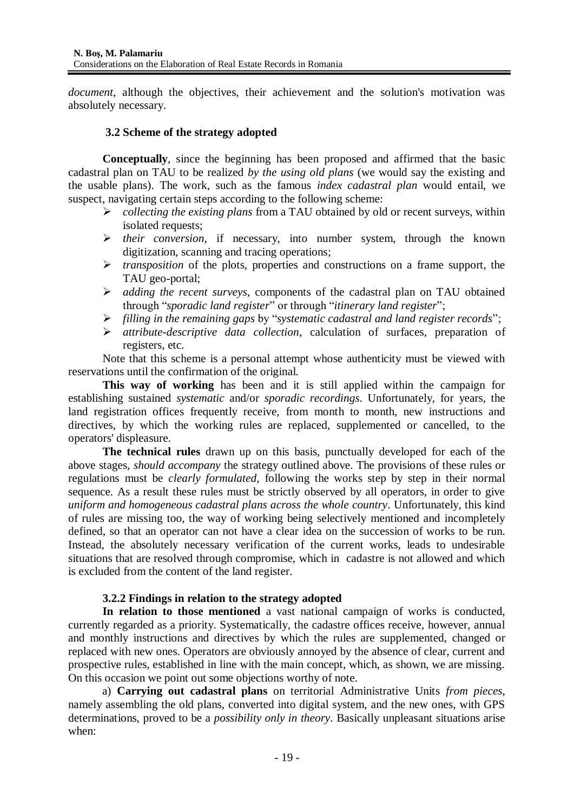*document*, although the objectives, their achievement and the solution's motivation was absolutely necessary.

### **3.2 Scheme of the strategy adopted**

**Conceptually**, since the beginning has been proposed and affirmed that the basic cadastral plan on TAU to be realized *by the using old plans* (we would say the existing and the usable plans). The work, such as the famous *index cadastral plan* would entail, we suspect, navigating certain steps according to the following scheme:

- *collecting the existing plans* from a TAU obtained by old or recent surveys, within isolated requests;
- *their conversion*, if necessary, into number system, through the known digitization, scanning and tracing operations;
- *transposition* of the plots, properties and constructions on a frame support, the TAU geo-portal;
- *adding the recent surveys*, components of the cadastral plan on TAU obtained through "*sporadic land register*" or through "*itinerary land register*";
- *filling in the remaining gaps* by "*systematic cadastral and land register records*";
- *attribute-descriptive data collection*, calculation of surfaces, preparation of registers, etc.

Note that this scheme is a personal attempt whose authenticity must be viewed with reservations until the confirmation of the original.

**This way of working** has been and it is still applied within the campaign for establishing sustained *systematic* and/or *sporadic recordings*. Unfortunately, for years, the land registration offices frequently receive, from month to month, new instructions and directives, by which the working rules are replaced, supplemented or cancelled, to the operators' displeasure.

**The technical rules** drawn up on this basis, punctually developed for each of the above stages, *should accompany* the strategy outlined above. The provisions of these rules or regulations must be *clearly formulated*, following the works step by step in their normal sequence. As a result these rules must be strictly observed by all operators, in order to give *uniform and homogeneous cadastral plans across the whole country*. Unfortunately, this kind of rules are missing too, the way of working being selectively mentioned and incompletely defined, so that an operator can not have a clear idea on the succession of works to be run. Instead, the absolutely necessary verification of the current works, leads to undesirable situations that are resolved through compromise, which in cadastre is not allowed and which is excluded from the content of the land register.

## **3.2.2 Findings in relation to the strategy adopted**

**In relation to those mentioned** a vast national campaign of works is conducted, currently regarded as a priority. Systematically, the cadastre offices receive, however, annual and monthly instructions and directives by which the rules are supplemented, changed or replaced with new ones. Operators are obviously annoyed by the absence of clear, current and prospective rules, established in line with the main concept, which, as shown, we are missing. On this occasion we point out some objections worthy of note.

a) **Carrying out cadastral plans** on territorial Administrative Units *from pieces*, namely assembling the old plans, converted into digital system, and the new ones, with GPS determinations, proved to be a *possibility only in theory*. Basically unpleasant situations arise when: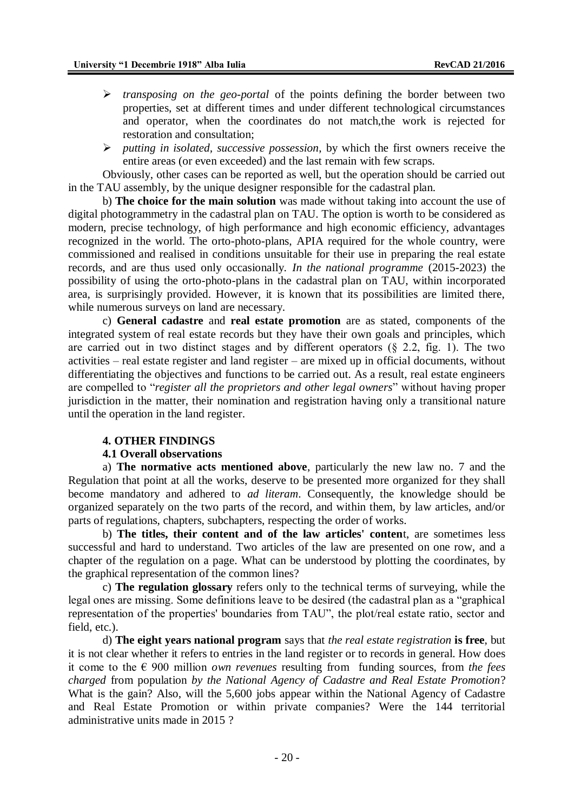- *transposing on the geo-portal* of the points defining the border between two properties, set at different times and under different technological circumstances and operator, when the coordinates do not match,the work is rejected for restoration and consultation;
- *putting in isolated, successive possession*, by which the first owners receive the entire areas (or even exceeded) and the last remain with few scraps.

Obviously, other cases can be reported as well, but the operation should be carried out in the TAU assembly, by the unique designer responsible for the cadastral plan.

b) **The choice for the main solution** was made without taking into account the use of digital photogrammetry in the cadastral plan on TAU. The option is worth to be considered as modern, precise technology, of high performance and high economic efficiency, advantages recognized in the world. The orto-photo-plans, APIA required for the whole country, were commissioned and realised in conditions unsuitable for their use in preparing the real estate records, and are thus used only occasionally. *In the national programme* (2015-2023) the possibility of using the orto-photo-plans in the cadastral plan on TAU, within incorporated area, is surprisingly provided. However, it is known that its possibilities are limited there, while numerous surveys on land are necessary.

c) **General cadastre** and **real estate promotion** are as stated, components of the integrated system of real estate records but they have their own goals and principles, which are carried out in two distinct stages and by different operators  $(\S$  2.2, fig. 1). The two activities – real estate register and land register – are mixed up in official documents, without differentiating the objectives and functions to be carried out. As a result, real estate engineers are compelled to "*register all the proprietors and other legal owners*" without having proper jurisdiction in the matter, their nomination and registration having only a transitional nature until the operation in the land register.

#### **4. OTHER FINDINGS**

#### **4.1 Overall observations**

a) **The normative acts mentioned above**, particularly the new law no. 7 and the Regulation that point at all the works, deserve to be presented more organized for they shall become mandatory and adhered to *ad literam*. Consequently, the knowledge should be organized separately on the two parts of the record, and within them, by law articles, and/or parts of regulations, chapters, subchapters, respecting the order of works.

b) **The titles, their content and of the law articles' conten**t, are sometimes less successful and hard to understand. Two articles of the law are presented on one row, and a chapter of the regulation on a page. What can be understood by plotting the coordinates, by the graphical representation of the common lines?

c) **The regulation glossary** refers only to the technical terms of surveying, while the legal ones are missing. Some definitions leave to be desired (the cadastral plan as a "graphical representation of the properties' boundaries from TAU", the plot/real estate ratio, sector and field, etc.).

d) **The eight years national program** says that *the real estate registration* **is free**, but it is not clear whether it refers to entries in the land register or to records in general. How does it come to the € 900 million *own revenues* resulting from funding sources, from *the fees charged* from population *by the National Agency of Cadastre and Real Estate Promotion*? What is the gain? Also, will the 5,600 jobs appear within the National Agency of Cadastre and Real Estate Promotion or within private companies? Were the 144 territorial administrative units made in 2015 ?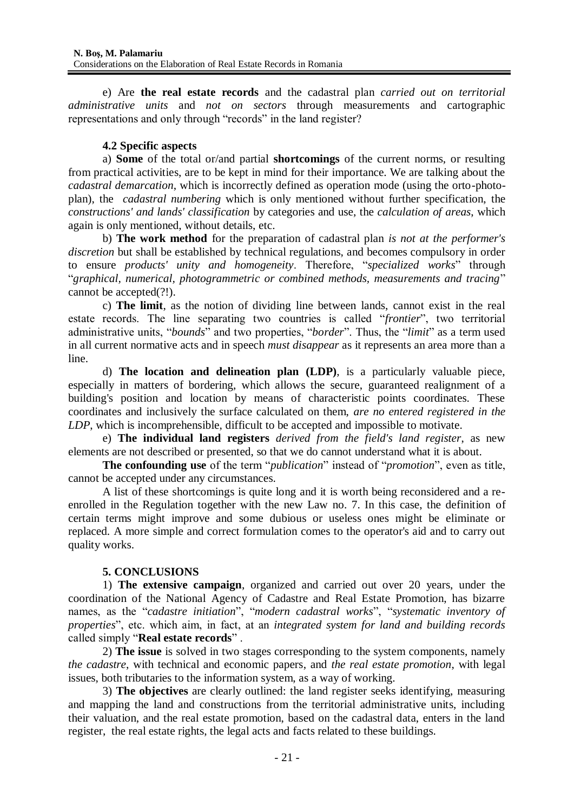e) Are **the real estate records** and the cadastral plan *carried out on territorial administrative units* and *not on sectors* through measurements and cartographic representations and only through "records" in the land register?

## **4.2 Specific aspects**

a) **Some** of the total or/and partial **shortcomings** of the current norms, or resulting from practical activities, are to be kept in mind for their importance. We are talking about the *cadastral demarcation*, which is incorrectly defined as operation mode (using the orto-photoplan), the *cadastral numbering* which is only mentioned without further specification, the *constructions' and lands' classification* by categories and use, the *calculation of areas*, which again is only mentioned, without details, etc.

b) **The work method** for the preparation of cadastral plan *is not at the performer's discretion* but shall be established by technical regulations, and becomes compulsory in order to ensure *products' unity and homogeneity*. Therefore, "*specialized works*" through "*graphical, numerical, photogrammetric or combined methods, measurements and tracing*" cannot be accepted(?!).

c) **The limit**, as the notion of dividing line between lands, cannot exist in the real estate records. The line separating two countries is called "*frontier*", two territorial administrative units, "*bounds*" and two properties, "*border*". Thus, the "*limit*" as a term used in all current normative acts and in speech *must disappear* as it represents an area more than a line.

d) **The location and delineation plan (LDP)**, is a particularly valuable piece, especially in matters of bordering, which allows the secure, guaranteed realignment of a building's position and location by means of characteristic points coordinates. These coordinates and inclusively the surface calculated on them, *are no entered registered in the LDP*, which is incomprehensible, difficult to be accepted and impossible to motivate.

e) **The individual land registers** *derived from the field's land register*, as new elements are not described or presented, so that we do cannot understand what it is about.

**The confounding use** of the term "*publication*" instead of "*promotion*", even as title, cannot be accepted under any circumstances.

A list of these shortcomings is quite long and it is worth being reconsidered and a reenrolled in the Regulation together with the new Law no. 7. In this case, the definition of certain terms might improve and some dubious or useless ones might be eliminate or replaced. A more simple and correct formulation comes to the operator's aid and to carry out quality works.

## **5. CONCLUSIONS**

1) **The extensive campaign**, organized and carried out over 20 years, under the coordination of the National Agency of Cadastre and Real Estate Promotion, has bizarre names, as the "*cadastre initiation*", "*modern cadastral works*", "*systematic inventory of properties*", etc. which aim, in fact, at an *integrated system for land and building records* called simply "**Real estate records**" .

2) **The issue** is solved in two stages corresponding to the system components, namely *the cadastre*, with technical and economic papers, and *the real estate promotion*, with legal issues, both tributaries to the information system, as a way of working.

3) **The objectives** are clearly outlined: the land register seeks identifying, measuring and mapping the land and constructions from the territorial administrative units, including their valuation, and the real estate promotion, based on the cadastral data, enters in the land register, the real estate rights, the legal acts and facts related to these buildings.